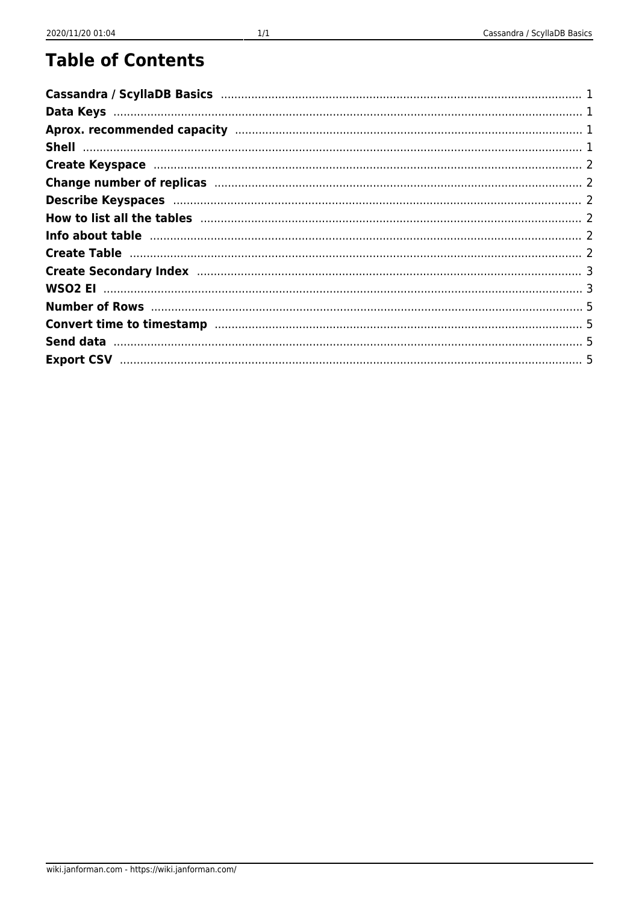#### **Table of Contents**

| How to list all the tables manufactured and the tables and all the tables manufactured and the tables manufactured and the tables and all the tables and the tables and the table of the table of the table of the table of th |  |
|--------------------------------------------------------------------------------------------------------------------------------------------------------------------------------------------------------------------------------|--|
| Info about table manufactured and the contract of the contract of the contract of the contract of the contract of the contract of the contract of the contract of the contract of the contract of the contract of the contract |  |
|                                                                                                                                                                                                                                |  |
|                                                                                                                                                                                                                                |  |
|                                                                                                                                                                                                                                |  |
|                                                                                                                                                                                                                                |  |
|                                                                                                                                                                                                                                |  |
|                                                                                                                                                                                                                                |  |
|                                                                                                                                                                                                                                |  |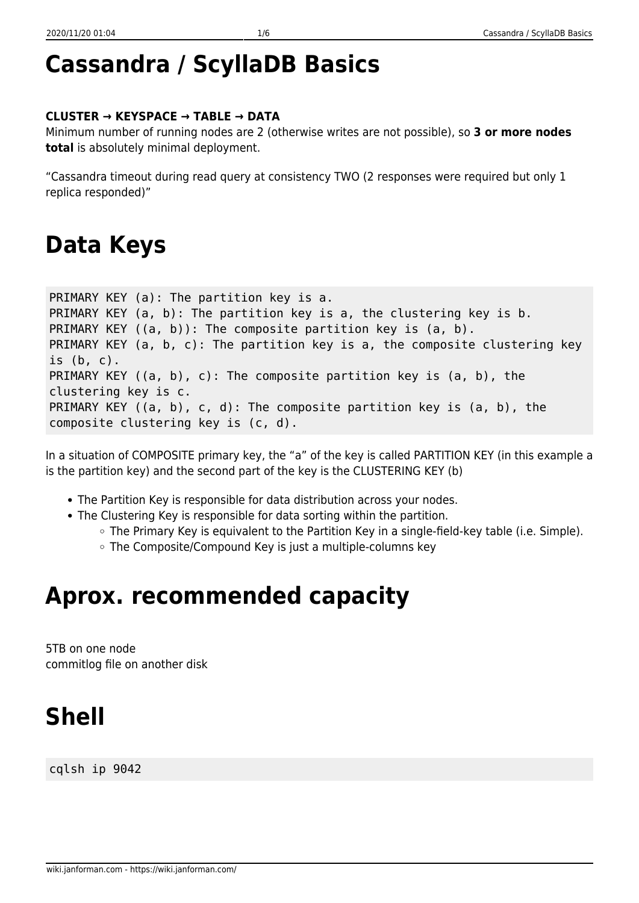## <span id="page-1-0"></span>**Cassandra / ScyllaDB Basics**

#### **CLUSTER → KEYSPACE → TABLE → DATA**

Minimum number of running nodes are 2 (otherwise writes are not possible), so **3 or more nodes total** is absolutely minimal deployment.

"Cassandra timeout during read query at consistency TWO (2 responses were required but only 1 replica responded)"

#### <span id="page-1-1"></span>**Data Keys**

```
PRIMARY KEY (a): The partition key is a.
PRIMARY KEY (a, b): The partition key is a, the clustering key is b.
PRIMARY KEY ((a, b)): The composite partition key is (a, b).
PRIMARY KEY (a, b, c): The partition key is a, the composite clustering key
is (b, c).
PRIMARY KEY ((a, b), c): The composite partition key is (a, b), the
clustering key is c.
PRIMARY KEY ((a, b), c, d): The composite partition key is (a, b), the
composite clustering key is (c, d).
```
In a situation of COMPOSITE primary key, the "a" of the key is called PARTITION KEY (in this example a is the partition key) and the second part of the key is the CLUSTERING KEY (b)

- The Partition Key is responsible for data distribution across your nodes.
- The Clustering Key is responsible for data sorting within the partition.
	- The Primary Key is equivalent to the Partition Key in a single-field-key table (i.e. Simple).
	- The Composite/Compound Key is just a multiple-columns key

### <span id="page-1-2"></span>**Aprox. recommended capacity**

5TB on one node commitlog file on another disk

# <span id="page-1-3"></span>**Shell**

cqlsh ip 9042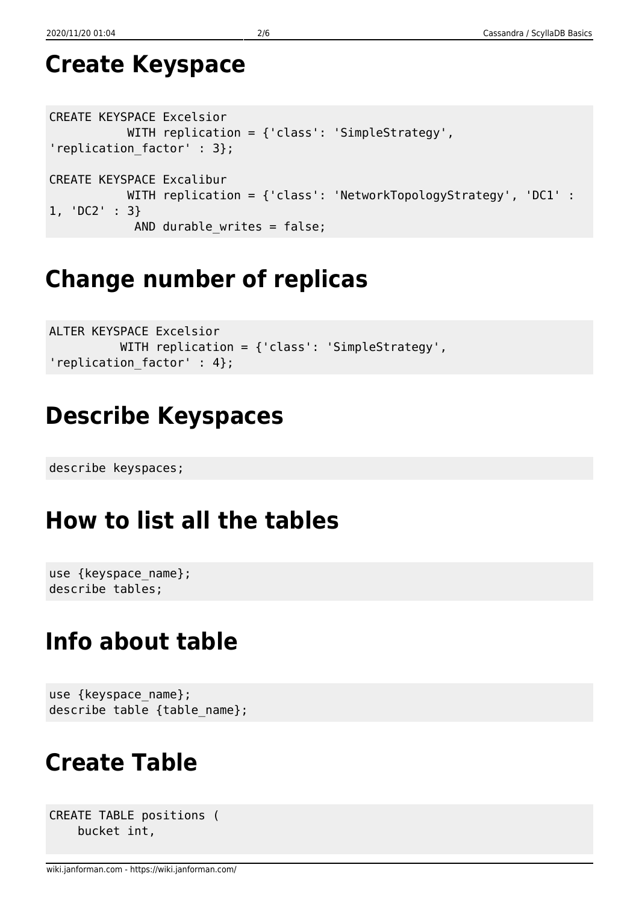## <span id="page-2-0"></span>**Create Keyspace**

```
CREATE KEYSPACE Excelsior
            WITH replication = {'class': 'SimpleStrategy',
'replication factor' : 3};
CREATE KEYSPACE Excalibur
            WITH replication = {'class': 'NetworkTopologyStrategy', 'DC1' :
1, 'DC2' : 3}
             AND durable_writes = false;
```
## <span id="page-2-1"></span>**Change number of replicas**

```
ALTER KEYSPACE Excelsior
           WITH replication = {'class': 'SimpleStrategy',
'replication_factor' : 4};
```
## <span id="page-2-2"></span>**Describe Keyspaces**

describe keyspaces;

## <span id="page-2-3"></span>**How to list all the tables**

```
use {keyspace name};
describe tables;
```
## <span id="page-2-4"></span>**Info about table**

```
use {keyspace_name};
describe table {table name};
```
## <span id="page-2-5"></span>**Create Table**

```
CREATE TABLE positions (
     bucket int,
```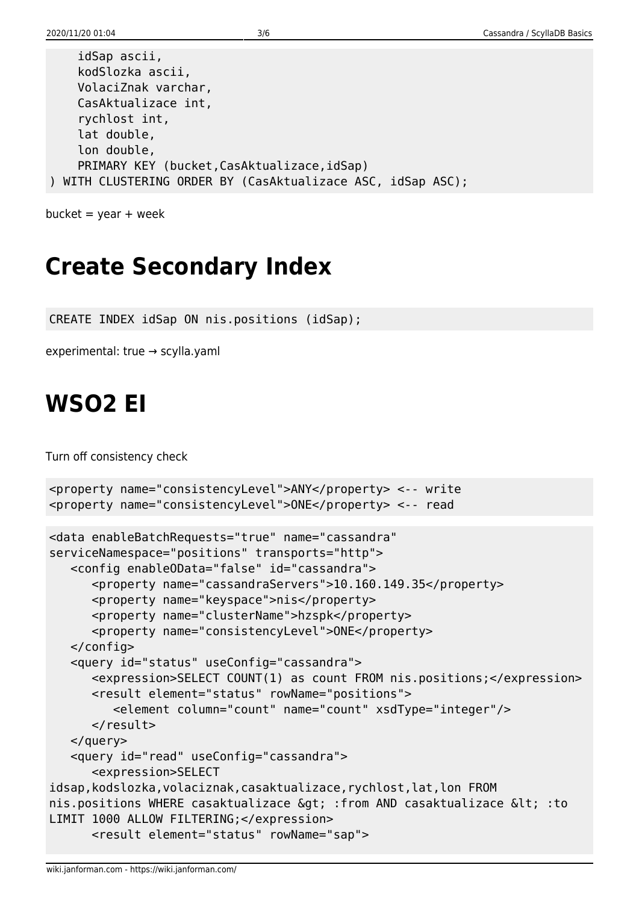idSap ascii,

```
 kodSlozka ascii,
     VolaciZnak varchar,
     CasAktualizace int,
     rychlost int,
     lat double,
     lon double,
    PRIMARY KEY (bucket, CasAktualizace, idSap)
) WITH CLUSTERING ORDER BY (CasAktualizace ASC, idSap ASC);
```

```
bucket = year + week
```
## <span id="page-3-0"></span>**Create Secondary Index**

CREATE INDEX idSap ON nis.positions (idSap);

experimental: true → scylla.yaml

### <span id="page-3-1"></span>**WSO2 EI**

Turn off consistency check

```
<property name="consistencyLevel">ANY</property> <-- write
<property name="consistencyLevel">ONE</property> <-- read
<data enableBatchRequests="true" name="cassandra"
serviceNamespace="positions" transports="http">
    <config enableOData="false" id="cassandra">
       <property name="cassandraServers">10.160.149.35</property>
       <property name="keyspace">nis</property>
       <property name="clusterName">hzspk</property>
       <property name="consistencyLevel">ONE</property>
    </config>
    <query id="status" useConfig="cassandra">
       <expression>SELECT COUNT(1) as count FROM nis.positions;</expression>
       <result element="status" rowName="positions">
          <element column="count" name="count" xsdType="integer"/>
       </result>
    </query>
    <query id="read" useConfig="cassandra">
       <expression>SELECT
idsap,kodslozka,volaciznak,casaktualizace,rychlost,lat,lon FROM
nis.positions WHERE casaktualizace & qt; : from AND casaktualizace & lt; : to
LIMIT 1000 ALLOW FILTERING;</expression>
       <result element="status" rowName="sap">
```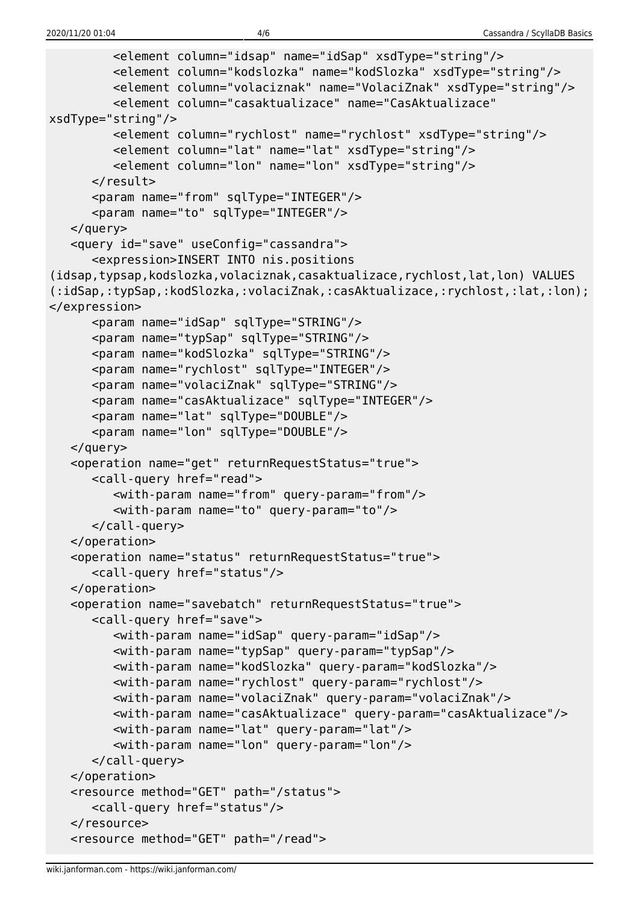```
 <element column="idsap" name="idSap" xsdType="string"/>
          <element column="kodslozka" name="kodSlozka" xsdType="string"/>
          <element column="volaciznak" name="VolaciZnak" xsdType="string"/>
          <element column="casaktualizace" name="CasAktualizace"
xsdType="string"/>
          <element column="rychlost" name="rychlost" xsdType="string"/>
          <element column="lat" name="lat" xsdType="string"/>
          <element column="lon" name="lon" xsdType="string"/>
       </result>
       <param name="from" sqlType="INTEGER"/>
       <param name="to" sqlType="INTEGER"/>
    </query>
    <query id="save" useConfig="cassandra">
       <expression>INSERT INTO nis.positions
(idsap,typsap,kodslozka,volaciznak,casaktualizace,rychlost,lat,lon) VALUES
(:idSap,:typSap,:kodSlozka,:volaciZnak,:casAktualizace,:rychlost,:lat,:lon);
</expression>
       <param name="idSap" sqlType="STRING"/>
       <param name="typSap" sqlType="STRING"/>
       <param name="kodSlozka" sqlType="STRING"/>
       <param name="rychlost" sqlType="INTEGER"/>
       <param name="volaciZnak" sqlType="STRING"/>
       <param name="casAktualizace" sqlType="INTEGER"/>
       <param name="lat" sqlType="DOUBLE"/>
       <param name="lon" sqlType="DOUBLE"/>
    </query>
    <operation name="get" returnRequestStatus="true">
       <call-query href="read">
          <with-param name="from" query-param="from"/>
          <with-param name="to" query-param="to"/>
       </call-query>
    </operation>
    <operation name="status" returnRequestStatus="true">
       <call-query href="status"/>
    </operation>
    <operation name="savebatch" returnRequestStatus="true">
       <call-query href="save">
          <with-param name="idSap" query-param="idSap"/>
          <with-param name="typSap" query-param="typSap"/>
          <with-param name="kodSlozka" query-param="kodSlozka"/>
          <with-param name="rychlost" query-param="rychlost"/>
          <with-param name="volaciZnak" query-param="volaciZnak"/>
          <with-param name="casAktualizace" query-param="casAktualizace"/>
          <with-param name="lat" query-param="lat"/>
          <with-param name="lon" query-param="lon"/>
       </call-query>
    </operation>
    <resource method="GET" path="/status">
       <call-query href="status"/>
    </resource>
    <resource method="GET" path="/read">
```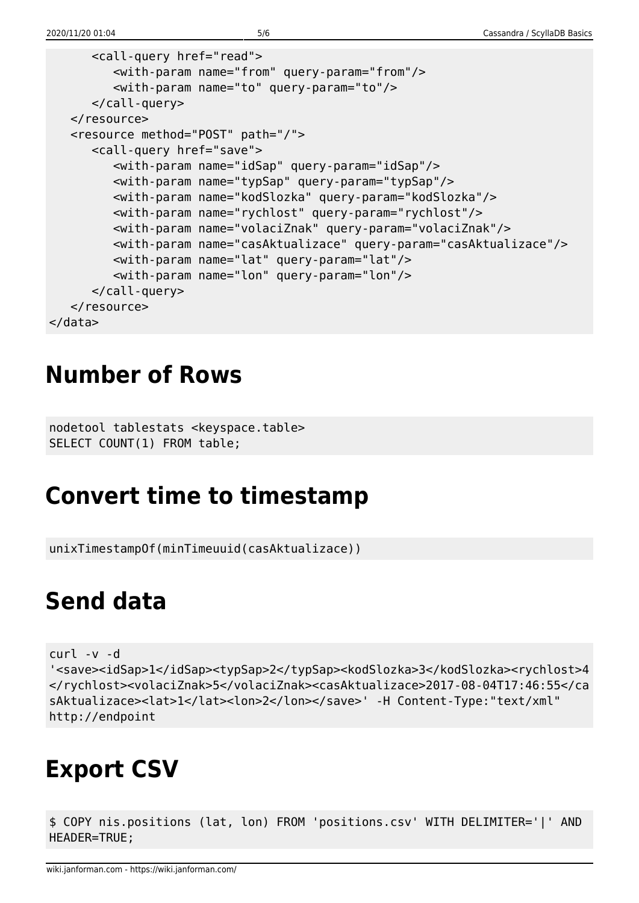```
 <call-query href="read">
          <with-param name="from" query-param="from"/>
          <with-param name="to" query-param="to"/>
       </call-query>
   </resource>
    <resource method="POST" path="/">
       <call-query href="save">
          <with-param name="idSap" query-param="idSap"/>
          <with-param name="typSap" query-param="typSap"/>
          <with-param name="kodSlozka" query-param="kodSlozka"/>
          <with-param name="rychlost" query-param="rychlost"/>
          <with-param name="volaciZnak" query-param="volaciZnak"/>
          <with-param name="casAktualizace" query-param="casAktualizace"/>
          <with-param name="lat" query-param="lat"/>
          <with-param name="lon" query-param="lon"/>
       </call-query>
    </resource>
</data>
```
#### <span id="page-5-0"></span>**Number of Rows**

nodetool tablestats <keyspace.table> SELECT COUNT(1) FROM table;

## <span id="page-5-1"></span>**Convert time to timestamp**

unixTimestampOf(minTimeuuid(casAktualizace))

### <span id="page-5-2"></span>**Send data**

```
curl -v -d
```
'<save><idSap>1</idSap><typSap>2</typSap><kodSlozka>3</kodSlozka><rychlost>4 </rychlost><volaciZnak>5</volaciZnak><casAktualizace>2017-08-04T17:46:55</ca sAktualizace><lat>1</lat><lon>2</lon></save>' -H Content-Type:"text/xml" http://endpoint

## <span id="page-5-3"></span>**Export CSV**

\$ COPY nis.positions (lat, lon) FROM 'positions.csv' WITH DELIMITER='|' AND HEADER=TRUE;